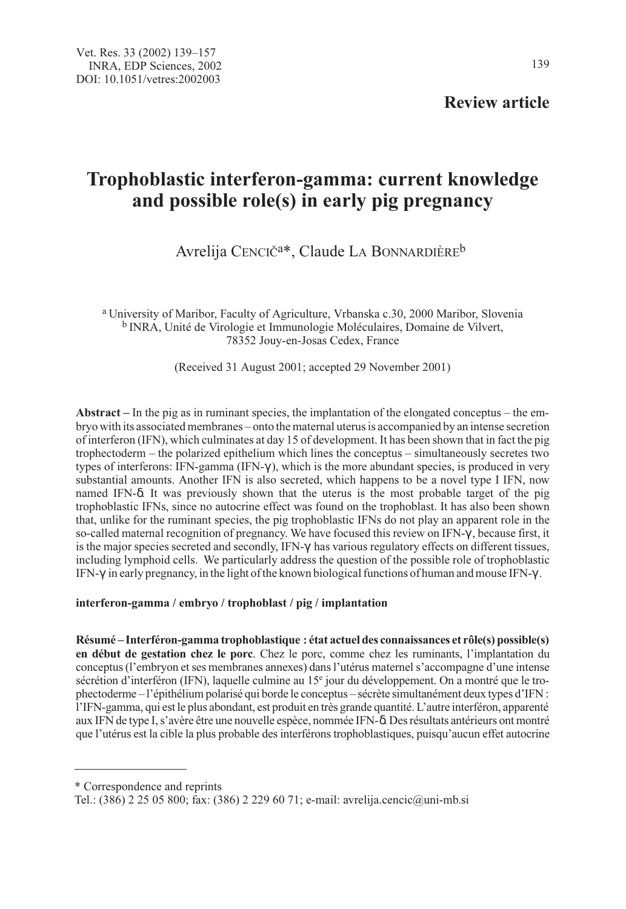Review article

# Trophoblastic interferon-gamma: current knowledge and possible role(s) in early pig pregnancy

Avrelija CENCIČ<sup>a\*</sup>, Claude LA BONNARDIÈRE<sup>b</sup>

<sup>a</sup> University of Maribor, Faculty of Agriculture, Vrbanska c.30, 2000 Maribor, Slovenia <sup>b</sup> INRA, Unité de Virologie et Immunologie Moléculaires, Domaine de Vilvert, 78352 Jouy-en-Josas Cedex, France

(Received 31 August 2001; accepted 29 November 2001)

Abstract – In the pig as in ruminant species, the implantation of the elongated conceptus – the embryo with its associated membranes – onto the maternal uterus is accompanied by an intense secretion of interferon (IFN), which culminates at day 15 of development. It has been shown that in fact the pig trophectoderm – the polarized epithelium which lines the conceptus – simultaneously secretes two types of interferons: IFN-gamma (IFN-γ ), which is the more abundant species, is produced in very substantial amounts. Another IFN is also secreted, which happens to be a novel type I IFN, now named IFN-δ. It was previously shown that the uterus is the most probable target of the pig trophoblastic IFNs, since no autocrine effect was found on the trophoblast. It has also been shown that, unlike for the ruminant species, the pig trophoblastic IFNs do not play an apparent role in the so-called maternal recognition of pregnancy. We have focused this review on IFN-γ , because first, it is the major species secreted and secondly, IFN-γ has various regulatory effects on different tissues, including lymphoid cells. We particularly address the question of the possible role of trophoblastic IFN-γ in early pregnancy, in the light of the known biological functions of human and mouse IFN-γ.

interferon-gamma / embryo / trophoblast / pig / implantation

Résumé – Interféron-gamma trophoblastique : état actuel des connaissances et rôle(s) possible(s) en début de gestation chez le porc. Chez le porc, comme chez les ruminants, l'implantation du conceptus (l'embryon et ses membranes annexes) dans l'utérus maternel s'accompagne d'une intense sécrétion d'interféron (IFN), laquelle culmine au 15<sup>e</sup> jour du développement. On a montré que le trophectoderme – l'épithélium polarisé qui borde le conceptus – sécrète simultanément deux types d'IFN : l'IFN-gamma, qui est le plus abondant, est produit en très grande quantité. L'autre interféron, apparenté aux IFN de type I, s'avère être une nouvelle espèce, nommée IFN-δ. Des résultats antérieurs ont montré que l'utérus est la cible la plus probable des interférons trophoblastiques, puisqu'aucun effet autocrine

<sup>\*</sup> Correspondence and reprints

Tel.: (386) 2 25 05 800; fax: (386) 2 229 60 71; e-mail: avrelija.cencic@uni-mb.si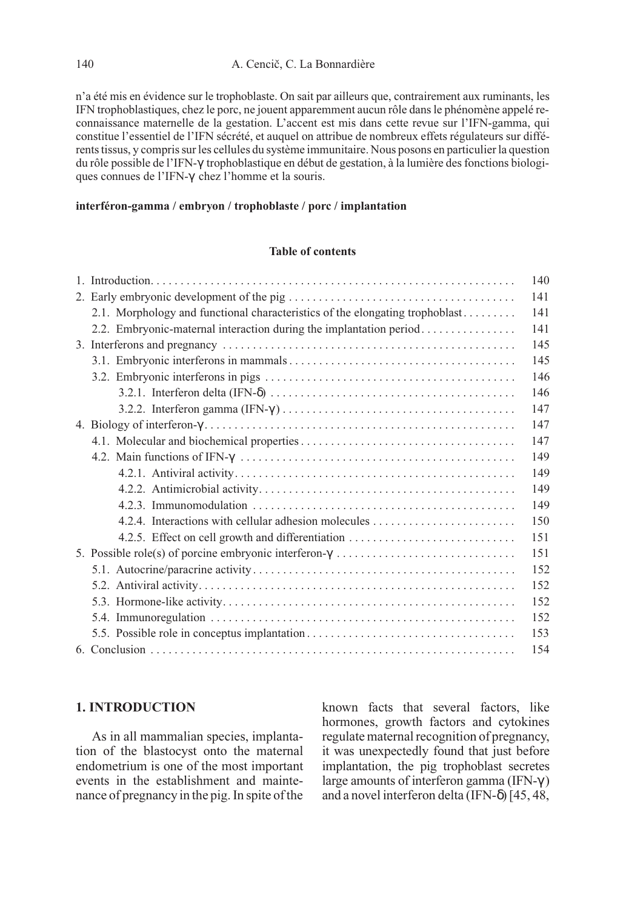n'a été mis en évidence sur le trophoblaste. On sait par ailleurs que, contrairement aux ruminants, les IFN trophoblastiques, chez le porc, ne jouent apparemment aucun rôle dans le phénomène appelé reconnaissance maternelle de la gestation. L'accent est mis dans cette revue sur l'IFN-gamma, qui constitue l'essentiel de l'IFN sécrété, et auquel on attribue de nombreux effets régulateurs sur différents tissus, y compris sur les cellules du système immunitaire. Nous posons en particulier la question du rôle possible de l'IFN-γ trophoblastique en début de gestation, à la lumière des fonctions biologiques connues de l'IFN-γ chez l'homme et la souris.

#### interféron-gamma / embryon / trophoblaste / porc / implantation

## Table of contents

|                                                                              | 140 |  |  |  |  |
|------------------------------------------------------------------------------|-----|--|--|--|--|
|                                                                              |     |  |  |  |  |
| 2.1. Morphology and functional characteristics of the elongating trophoblast | 141 |  |  |  |  |
| 2.2. Embryonic-maternal interaction during the implantation period           | 141 |  |  |  |  |
|                                                                              | 145 |  |  |  |  |
|                                                                              | 145 |  |  |  |  |
|                                                                              | 146 |  |  |  |  |
|                                                                              | 146 |  |  |  |  |
|                                                                              | 147 |  |  |  |  |
|                                                                              | 147 |  |  |  |  |
|                                                                              | 147 |  |  |  |  |
|                                                                              | 149 |  |  |  |  |
|                                                                              | 149 |  |  |  |  |
|                                                                              | 149 |  |  |  |  |
|                                                                              | 149 |  |  |  |  |
|                                                                              | 150 |  |  |  |  |
| 4.2.5. Effect on cell growth and differentiation                             | 151 |  |  |  |  |
|                                                                              |     |  |  |  |  |
|                                                                              | 152 |  |  |  |  |
|                                                                              | 152 |  |  |  |  |
|                                                                              | 152 |  |  |  |  |
|                                                                              | 152 |  |  |  |  |
|                                                                              | 153 |  |  |  |  |
|                                                                              | 154 |  |  |  |  |

# 1. INTRODUCTION

As in all mammalian species, implantation of the blastocyst onto the maternal endometrium is one of the most important events in the establishment and maintenance of pregnancy in the pig. In spite of the known facts that several factors, like hormones, growth factors and cytokines regulate maternal recognition of pregnancy, it was unexpectedly found that just before implantation, the pig trophoblast secretes large amounts of interferon gamma (IFN-γ ) and a novel interferon delta (IFN-δ) [45, 48,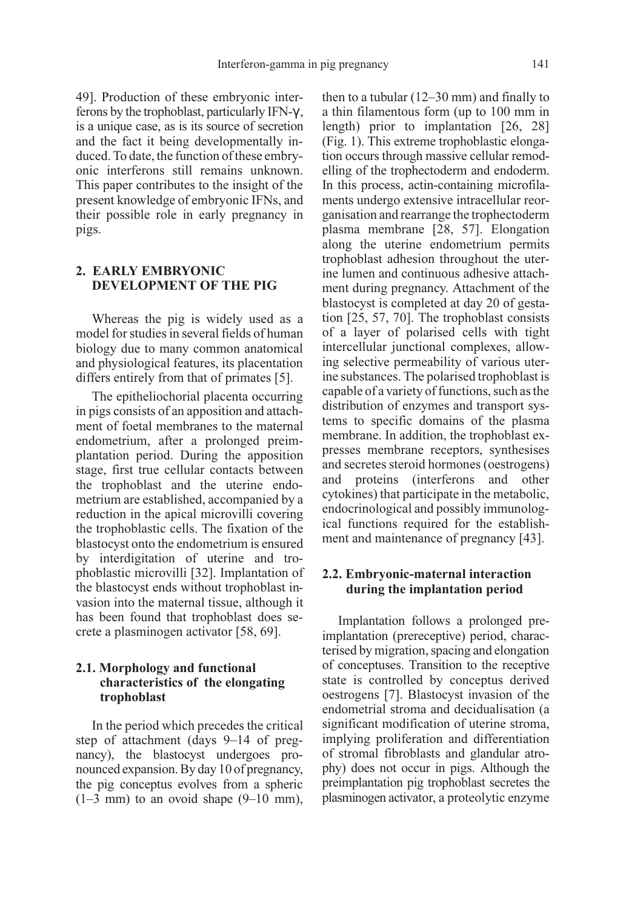49]. Production of these embryonic interferons by the trophoblast, particularly IFN-γ , is a unique case, as is its source of secretion and the fact it being developmentally induced. To date, the function of these embryonic interferons still remains unknown. This paper contributes to the insight of the present knowledge of embryonic IFNs, and their possible role in early pregnancy in pigs.

# 2. EARLY EMBRYONIC DEVELOPMENT OF THE PIG

Whereas the pig is widely used as a model for studies in several fields of human biology due to many common anatomical and physiological features, its placentation differs entirely from that of primates [5].

The epitheliochorial placenta occurring in pigs consists of an apposition and attachment of foetal membranes to the maternal endometrium, after a prolonged preimplantation period. During the apposition stage, first true cellular contacts between the trophoblast and the uterine endometrium are established, accompanied by a reduction in the apical microvilli covering the trophoblastic cells. The fixation of the blastocyst onto the endometrium is ensured by interdigitation of uterine and trophoblastic microvilli [32]. Implantation of the blastocyst ends without trophoblast invasion into the maternal tissue, although it has been found that trophoblast does secrete a plasminogen activator [58, 69].

## 2.1. Morphology and functional characteristics of the elongating trophoblast

In the period which precedes the critical step of attachment (days 9–14 of pregnancy), the blastocyst undergoes pronounced expansion. By day 10 of pregnancy, the pig conceptus evolves from a spheric  $(1-3$  mm) to an ovoid shape  $(9-10$  mm), then to a tubular (12–30 mm) and finally to a thin filamentous form (up to 100 mm in length) prior to implantation [26, 28] (Fig. 1). This extreme trophoblastic elongation occurs through massive cellular remodelling of the trophectoderm and endoderm. In this process, actin-containing microfilaments undergo extensive intracellular reorganisation and rearrange the trophectoderm plasma membrane [28, 57]. Elongation along the uterine endometrium permits trophoblast adhesion throughout the uterine lumen and continuous adhesive attachment during pregnancy. Attachment of the blastocyst is completed at day 20 of gestation [25, 57, 70]. The trophoblast consists of a layer of polarised cells with tight intercellular junctional complexes, allowing selective permeability of various uterine substances. The polarised trophoblast is capable of a variety of functions, such as the distribution of enzymes and transport systems to specific domains of the plasma membrane. In addition, the trophoblast expresses membrane receptors, synthesises and secretes steroid hormones (oestrogens) and proteins (interferons and other cytokines) that participate in the metabolic, endocrinological and possibly immunological functions required for the establishment and maintenance of pregnancy [43].

## 2.2. Embryonic-maternal interaction during the implantation period

Implantation follows a prolonged preimplantation (prereceptive) period, characterised by migration, spacing and elongation of conceptuses. Transition to the receptive state is controlled by conceptus derived oestrogens [7]. Blastocyst invasion of the endometrial stroma and decidualisation (a significant modification of uterine stroma, implying proliferation and differentiation of stromal fibroblasts and glandular atrophy) does not occur in pigs. Although the preimplantation pig trophoblast secretes the plasminogen activator, a proteolytic enzyme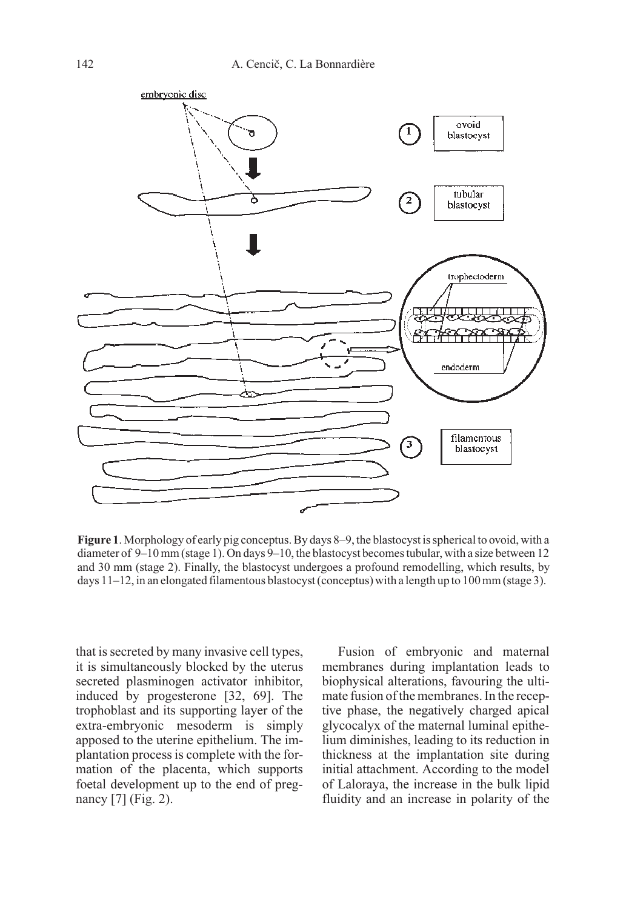

Figure 1. Morphology of early pig conceptus. By days 8–9, the blastocyst is spherical to ovoid, with a diameter of 9–10 mm (stage 1). On days 9–10, the blastocyst becomes tubular, with a size between 12 and 30 mm (stage 2). Finally, the blastocyst undergoes a profound remodelling, which results, by days  $11-12$ , in an elongated filamentous blastocyst (conceptus) with a length up to 100 mm (stage 3).

that is secreted by many invasive cell types, it is simultaneously blocked by the uterus secreted plasminogen activator inhibitor, induced by progesterone [32, 69]. The trophoblast and its supporting layer of the extra-embryonic mesoderm is simply apposed to the uterine epithelium. The implantation process is complete with the formation of the placenta, which supports foetal development up to the end of pregnancy [7] (Fig. 2).

Fusion of embryonic and maternal membranes during implantation leads to biophysical alterations, favouring the ultimate fusion of the membranes. In the receptive phase, the negatively charged apical glycocalyx of the maternal luminal epithelium diminishes, leading to its reduction in thickness at the implantation site during initial attachment. According to the model of Laloraya, the increase in the bulk lipid fluidity and an increase in polarity of the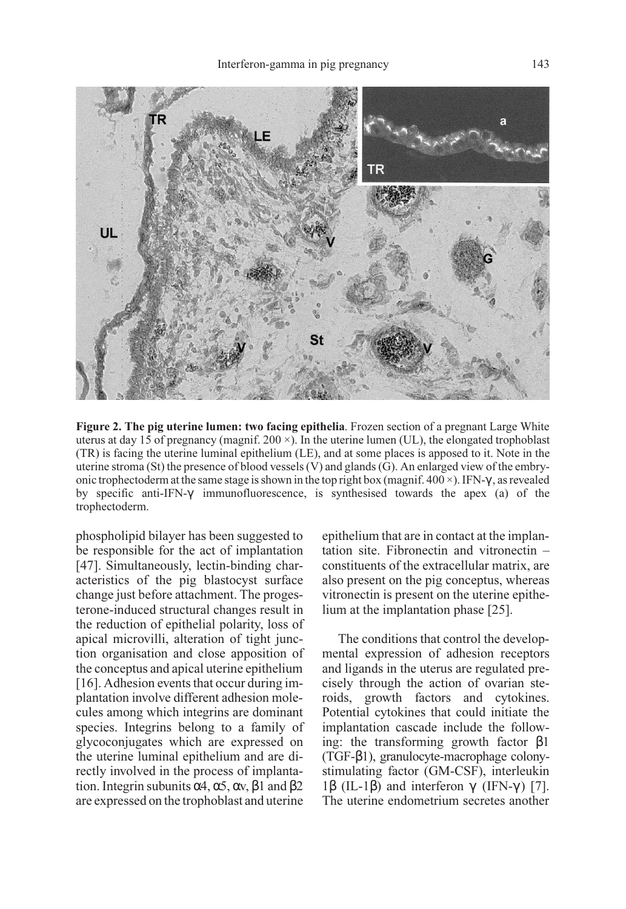

Figure 2. The pig uterine lumen: two facing epithelia. Frozen section of a pregnant Large White uterus at day 15 of pregnancy (magnif.  $200 \times$ ). In the uterine lumen (UL), the elongated trophoblast (TR) is facing the uterine luminal epithelium (LE), and at some places is apposed to it. Note in the uterine stroma (St) the presence of blood vessels (V) and glands (G). An enlarged view of the embryonic trophectoderm at the same stage is shown in the top right box (magnif.  $400 \times$ ). IFN- $\gamma$ , as revealed by specific anti-IFN-γ immunofluorescence, is synthesised towards the apex (a) of the trophectoderm.

phospholipid bilayer has been suggested to be responsible for the act of implantation [47]. Simultaneously, lectin-binding characteristics of the pig blastocyst surface change just before attachment. The progesterone-induced structural changes result in the reduction of epithelial polarity, loss of apical microvilli, alteration of tight junction organisation and close apposition of the conceptus and apical uterine epithelium [16]. Adhesion events that occur during implantation involve different adhesion molecules among which integrins are dominant species. Integrins belong to a family of glycoconjugates which are expressed on the uterine luminal epithelium and are directly involved in the process of implantation. Integrin subunits  $α4$ ,  $α5$ ,  $αv$ ,  $β1$  and  $β2$ are expressed on the trophoblast and uterine

epithelium that are in contact at the implantation site. Fibronectin and vitronectin – constituents of the extracellular matrix, are also present on the pig conceptus, whereas vitronectin is present on the uterine epithelium at the implantation phase [25].

The conditions that control the developmental expression of adhesion receptors and ligands in the uterus are regulated precisely through the action of ovarian steroids, growth factors and cytokines. Potential cytokines that could initiate the implantation cascade include the following: the transforming growth factor β1 (TGF-β1), granulocyte-macrophage colonystimulating factor (GM-CSF), interleukin 1β (IL-1β) and interferon  $\gamma$  (IFN- $\gamma$ ) [7]. The uterine endometrium secretes another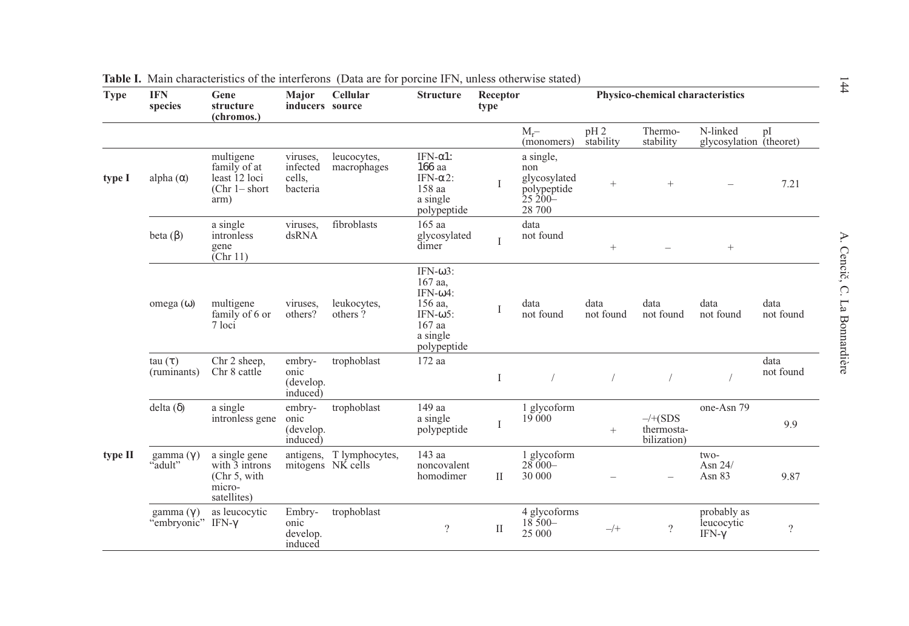| <b>Type</b> | <b>IFN</b><br>species                 | Gene<br>structure<br>(chromos.)                                          | Major<br>inducers source                   | Cellular                   | <b>Structure</b>                                                                                                    | Receptor<br>type |                                                                          | Physico-chemical characteristics |                                               |                                            |                   |
|-------------|---------------------------------------|--------------------------------------------------------------------------|--------------------------------------------|----------------------------|---------------------------------------------------------------------------------------------------------------------|------------------|--------------------------------------------------------------------------|----------------------------------|-----------------------------------------------|--------------------------------------------|-------------------|
|             |                                       |                                                                          |                                            |                            |                                                                                                                     |                  | $M_{r}$ -<br>(monomers)                                                  | $pH_2$<br>stability              | Thermo-<br>stability                          | N-linked<br>glycosylation (theoret)        | pI                |
| type I      | alpha $(\alpha)$                      | multigene<br>family of at<br>least 12 loci<br>$(Chr 1 - short)$<br>arm)  | viruses.<br>infected<br>cells.<br>bacteria | leucocytes,<br>macrophages | IFN- $\alpha$ 1:<br>166 aa<br>IFN- $\alpha$ 2:<br>158 aa<br>a single<br>polypeptide                                 | $\mathbf{I}$     | a single,<br>non<br>glycosylated<br>polypeptide<br>$25\,200 -$<br>28 700 | $^{+}$                           | $^{+}$                                        |                                            | 7.21              |
|             | beta $(\beta)$                        | a single<br>intronless<br>gene<br>$\text{[Chr 11]}$                      | viruses.<br>dsRNA                          | fibroblasts                | 165 aa<br>glycosylated<br>dimer                                                                                     | I                | data<br>not found                                                        | $\! + \!\!\!\!$                  |                                               | $^{+}$                                     |                   |
|             | $omega(\omega)$                       | multigene<br>family of 6 or<br>$7$ loci                                  | viruses.<br>others?                        | leukocytes,<br>others?     | IFN- $\omega$ 3:<br>167 aa,<br>IFN- $\omega$ 4:<br>156 aa,<br>IFN- $\omega$ 5:<br>167 aa<br>a single<br>polypeptide | I                | data<br>not found                                                        | data<br>not found                | data<br>not found                             | data<br>not found                          | data<br>not found |
|             | $tau(\tau)$<br>(ruminants)            | Chr 2 sheep,<br>Chr 8 cattle                                             | embry-<br>onic<br>(develop.<br>induced)    | trophoblast                | 172 aa                                                                                                              | $\mathbf{I}$     |                                                                          |                                  |                                               |                                            | data<br>not found |
|             | delta $(\delta)$                      | a single<br>intronless gene                                              | embry-<br>onic<br>(develop.<br>induced)    | trophoblast                | 149 aa<br>a single<br>polypeptide                                                                                   | I                | 1 glycoform<br>19 000                                                    | $\! + \!\!\!\!$                  | $-\sqrt{+(SDS)}$<br>thermosta-<br>bilization) | one-Asn 79                                 | 9.9               |
| type II     | gamma $(y)$<br>"adult"                | a single gene<br>with 3 introns<br>(Chr 5, with<br>micro-<br>satellites) | mitogens NK cells                          | antigens, T lymphocytes,   | 143 aa<br>noncovalent<br>homodimer                                                                                  | $\rm{II}$        | 1 glycoform<br>$28000 -$<br>30 000                                       |                                  |                                               | two-<br>Asn 24/<br>Asn 83                  | 9.87              |
|             | gamma $(\gamma)$<br>"embryonic" IFN-γ | as leucocytic                                                            | Embry-<br>onic<br>develop.<br>induced      | trophoblast                | $\overline{\mathcal{L}}$                                                                                            | $\rm II$         | 4 glycoforms<br>$18500 -$<br>25 000                                      | $-$ /+                           | $\overline{?}$                                | probably as<br>leucocytic<br>IFN- $\gamma$ | $\overline{?}$    |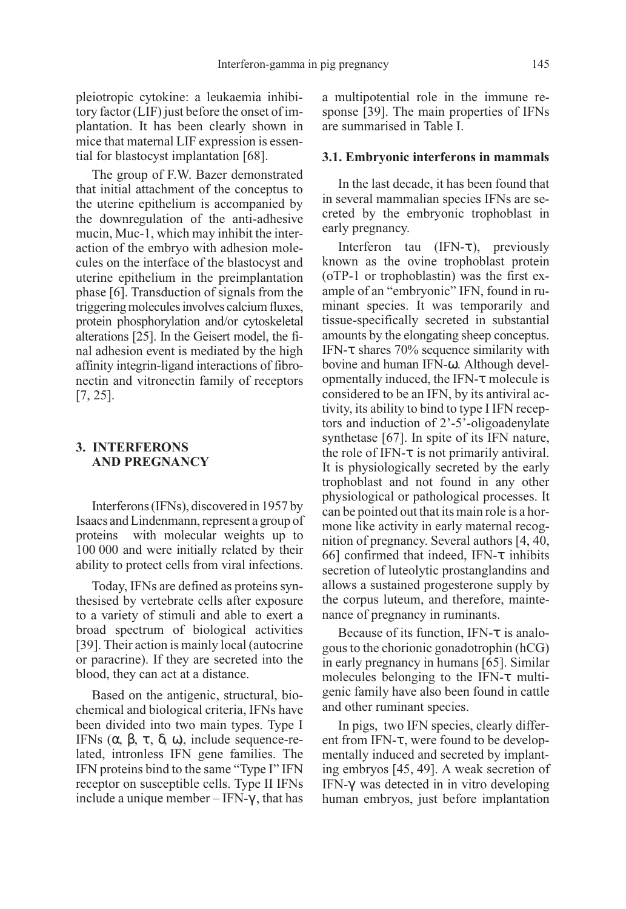pleiotropic cytokine: a leukaemia inhibitory factor (LIF) just before the onset of implantation. It has been clearly shown in mice that maternal LIF expression is essential for blastocyst implantation [68].

The group of F.W. Bazer demonstrated that initial attachment of the conceptus to the uterine epithelium is accompanied by the downregulation of the anti-adhesive mucin, Muc-1, which may inhibit the interaction of the embryo with adhesion molecules on the interface of the blastocyst and uterine epithelium in the preimplantation phase [6]. Transduction of signals from the triggering molecules involves calcium fluxes, protein phosphorylation and/or cytoskeletal alterations [25]. In the Geisert model, the final adhesion event is mediated by the high affinity integrin-ligand interactions of fibronectin and vitronectin family of receptors [7, 25].

# 3. INTERFERONS AND PREGNANCY

Interferons (IFNs), discovered in 1957 by Isaacs and Lindenmann, represent a group of proteins with molecular weights up to 100 000 and were initially related by their ability to protect cells from viral infections.

Today, IFNs are defined as proteins synthesised by vertebrate cells after exposure to a variety of stimuli and able to exert a broad spectrum of biological activities [39]. Their action is mainly local (autocrine or paracrine). If they are secreted into the blood, they can act at a distance.

Based on the antigenic, structural, biochemical and biological criteria, IFNs have been divided into two main types. Type I IFNs  $(α, β, τ, δ, ω)$ , include sequence-related, intronless IFN gene families. The IFN proteins bind to the same "Type I" IFN receptor on susceptible cells. Type II IFNs include a unique member – IFN- $\gamma$ , that has a multipotential role in the immune response [39]. The main properties of IFNs are summarised in Table I.

#### 3.1. Embryonic interferons in mammals

In the last decade, it has been found that in several mammalian species IFNs are secreted by the embryonic trophoblast in early pregnancy.

Interferon tau  $(IFN-\tau)$ , previously known as the ovine trophoblast protein (oTP-1 or trophoblastin) was the first example of an "embryonic" IFN, found in ruminant species. It was temporarily and tissue-specifically secreted in substantial amounts by the elongating sheep conceptus. IFN-τ shares 70% sequence similarity with bovine and human IFN-ω.. Although developmentally induced, the IFN-τ molecule is considered to be an IFN, by its antiviral activity, its ability to bind to type I IFN receptors and induction of 2'-5'-oligoadenylate synthetase [67]. In spite of its IFN nature, the role of IFN- $\tau$  is not primarily antiviral. It is physiologically secreted by the early trophoblast and not found in any other physiological or pathological processes. It can be pointed out that its main role is a hormone like activity in early maternal recognition of pregnancy. Several authors [4, 40, 66] confirmed that indeed, IFN- $\tau$  inhibits secretion of luteolytic prostanglandins and allows a sustained progesterone supply by the corpus luteum, and therefore, maintenance of pregnancy in ruminants.

Because of its function, IFN-τ is analogous to the chorionic gonadotrophin (hCG) in early pregnancy in humans [65]. Similar molecules belonging to the IFN-τ multigenic family have also been found in cattle and other ruminant species.

In pigs, two IFN species, clearly different from IFN-τ , were found to be developmentally induced and secreted by implanting embryos [45, 49]. A weak secretion of IFN-γ was detected in in vitro developing human embryos, just before implantation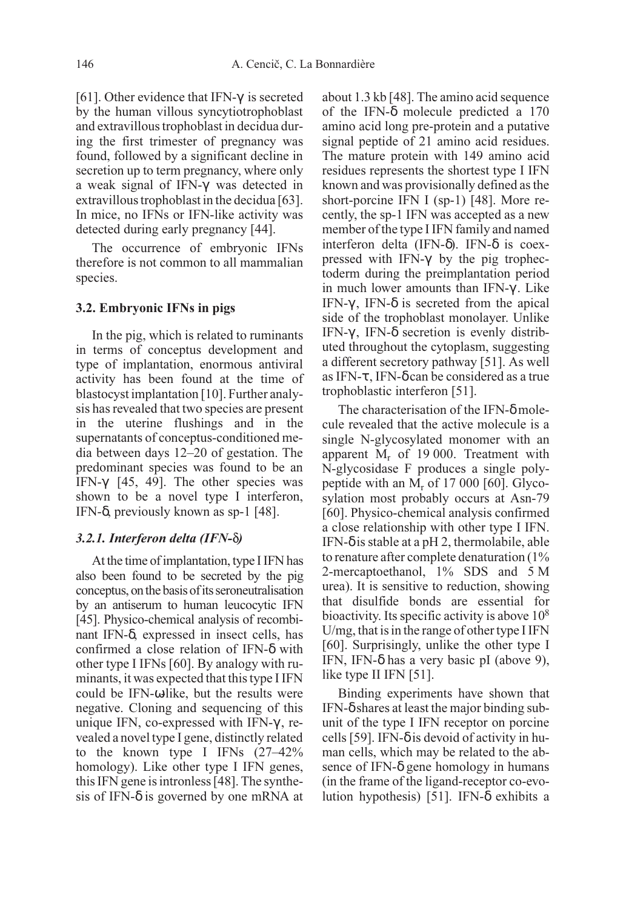[61]. Other evidence that IFN- $\gamma$  is secreted by the human villous syncytiotrophoblast and extravillous trophoblast in decidua during the first trimester of pregnancy was found, followed by a significant decline in secretion up to term pregnancy, where only a weak signal of IFN-γ was detected in extravillous trophoblast in the decidua [63]. In mice, no IFNs or IFN-like activity was detected during early pregnancy [44].

The occurrence of embryonic IFNs therefore is not common to all mammalian species.

#### 3.2. Embryonic IFNs in pigs

In the pig, which is related to ruminants in terms of conceptus development and type of implantation, enormous antiviral activity has been found at the time of blastocyst implantation [10]. Further analysis has revealed that two species are present in the uterine flushings and in the supernatants of conceptus-conditioned media between days 12–20 of gestation. The predominant species was found to be an IFN-γ [45, 49]. The other species was shown to be a novel type I interferon, IFN-δ, previously known as sp-1 [48].

#### $3.2.1.$  Interferon delta (IFN- $\delta$ )

At the time of implantation, type I IFN has also been found to be secreted by the pig conceptus, on the basis of its seroneutralisation by an antiserum to human leucocytic IFN [45]. Physico-chemical analysis of recombinant IFN-δ, expressed in insect cells, has confirmed a close relation of IFN-δ with other type I IFNs [60]. By analogy with ruminants, it was expected that this type I IFN could be IFN- $\omega$ -like, but the results were negative. Cloning and sequencing of this unique IFN, co-expressed with IFN-γ , revealed a novel type I gene, distinctly related to the known type I IFNs (27–42% homology). Like other type I IFN genes, this IFN gene is intronless [48]. The synthesis of IFN- $\delta$  is governed by one mRNA at

about 1.3 kb [48]. The amino acid sequence of the IFN-δ molecule predicted a 170 amino acid long pre-protein and a putative signal peptide of 21 amino acid residues. The mature protein with 149 amino acid residues represents the shortest type I IFN known and was provisionally defined as the short-porcine IFN I (sp-1) [48]. More recently, the sp-1 IFN was accepted as a new member of the type I IFN family and named interferon delta (IFN-δ). IFN-δ is coexpressed with IFN-γ by the pig trophectoderm during the preimplantation period in much lower amounts than IFN- $γ$ . Like IFN-γ, IFN- $\delta$  is secreted from the apical side of the trophoblast monolayer. Unlike IFN-γ, IFN-δ secretion is evenly distributed throughout the cytoplasm, suggesting a different secretory pathway [51]. As well as IFN-τ , IFN-δ can be considered as a true trophoblastic interferon [51].

The characterisation of the IFN-δ molecule revealed that the active molecule is a single N-glycosylated monomer with an apparent  $M_r$  of 19 000. Treatment with N-glycosidase F produces a single polypeptide with an  $M_r$  of 17 000 [60]. Glycosylation most probably occurs at Asn-79 [60]. Physico-chemical analysis confirmed a close relationship with other type I IFN. IFN-δ is stable at a pH 2, thermolabile, able to renature after complete denaturation (1% 2-mercaptoethanol, 1% SDS and 5 M urea). It is sensitive to reduction, showing that disulfide bonds are essential for bioactivity. Its specific activity is above 108 U/mg, that is in the range of other type I IFN [60]. Surprisingly, unlike the other type I IFN, IFN- $\delta$  has a very basic pI (above 9), like type II IFN [51].

Binding experiments have shown that IFN-δ shares at least the major binding subunit of the type I IFN receptor on porcine cells [59]. IFN- $\delta$  is devoid of activity in human cells, which may be related to the absence of IFN- $\delta$  gene homology in humans (in the frame of the ligand-receptor co-evolution hypothesis) [51]. IFN-δ exhibits a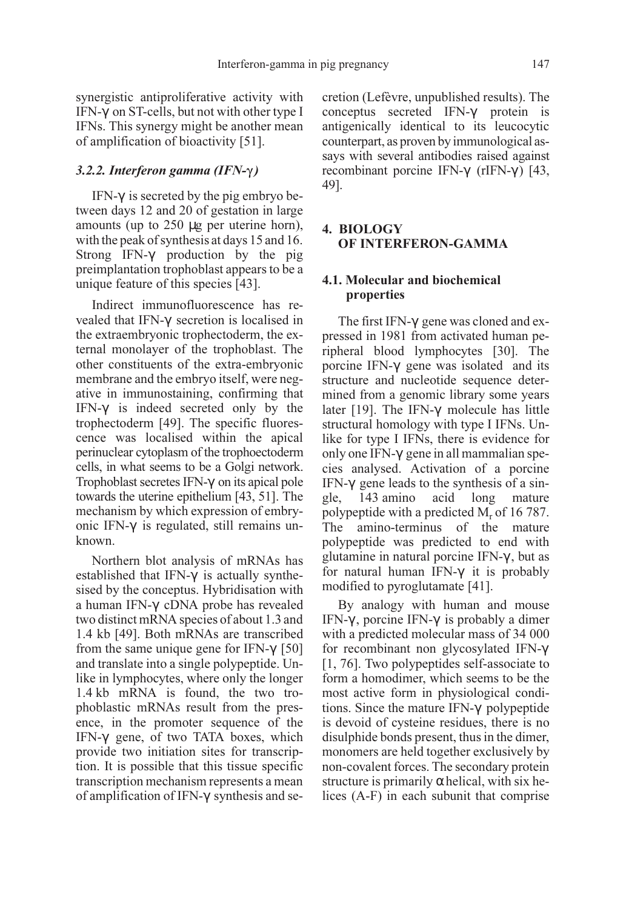synergistic antiproliferative activity with IFN-γ on ST-cells, but not with other type I IFNs. This synergy might be another mean of amplification of bioactivity [51].

## 3.2.2. Interferon gamma (IFN- $\gamma$ )

IFN-γ is secreted by the pig embryo between days 12 and 20 of gestation in large amounts (up to 250 µg per uterine horn), with the peak of synthesis at days 15 and 16. Strong IFN-γ production by the pig preimplantation trophoblast appears to be a unique feature of this species [43].

Indirect immunofluorescence has revealed that IFN-γ secretion is localised in the extraembryonic trophectoderm, the external monolayer of the trophoblast. The other constituents of the extra-embryonic membrane and the embryo itself, were negative in immunostaining, confirming that IFN-γ is indeed secreted only by the trophectoderm [49]. The specific fluorescence was localised within the apical perinuclear cytoplasm of the trophoectoderm cells, in what seems to be a Golgi network. Trophoblast secretes IFN-γ on its apical pole towards the uterine epithelium [43, 51]. The mechanism by which expression of embryonic IFN-γ is regulated, still remains unknown.

Northern blot analysis of mRNAs has established that IFN-γ is actually synthesised by the conceptus. Hybridisation with a human IFN-γ cDNA probe has revealed two distinct mRNA species of about 1.3 and 1.4 kb [49]. Both mRNAs are transcribed from the same unique gene for IFN- $\gamma$  [50] and translate into a single polypeptide. Unlike in lymphocytes, where only the longer 1.4 kb mRNA is found, the two trophoblastic mRNAs result from the presence, in the promoter sequence of the IFN-γ gene, of two TATA boxes, which provide two initiation sites for transcription. It is possible that this tissue specific transcription mechanism represents a mean of amplification of IFN-γ synthesis and secretion (Lefèvre, unpublished results). The conceptus secreted IFN-γ protein is antigenically identical to its leucocytic counterpart, as proven by immunological assays with several antibodies raised against recombinant porcine IFN-γ (rIFN-γ ) [43, 49].

# 4. BIOLOGY OF INTERFERON-GAMMA

# 4.1. Molecular and biochemical properties

The first IFN-γ gene was cloned and expressed in 1981 from activated human peripheral blood lymphocytes [30]. The porcine IFN-γ gene was isolated and its structure and nucleotide sequence determined from a genomic library some years later [19]. The IFN-γ molecule has little structural homology with type I IFNs. Unlike for type I IFNs, there is evidence for only one IFN-γ gene in all mammalian species analysed. Activation of a porcine IFN-γ gene leads to the synthesis of a single, 143 amino acid long mature polypeptide with a predicted  $M_r$  of 16 787. The amino-terminus of the mature polypeptide was predicted to end with glutamine in natural porcine IFN-γ , but as for natural human IFN-γ it is probably modified to pyroglutamate [41].

By analogy with human and mouse IFN-γ , porcine IFN-γ is probably a dimer with a predicted molecular mass of 34 000 for recombinant non glycosylated IFN-γ [1, 76]. Two polypeptides self-associate to form a homodimer, which seems to be the most active form in physiological conditions. Since the mature IFN-γ polypeptide is devoid of cysteine residues, there is no disulphide bonds present, thus in the dimer, monomers are held together exclusively by non-covalent forces. The secondary protein structure is primarily  $\alpha$  helical, with six helices (A-F) in each subunit that comprise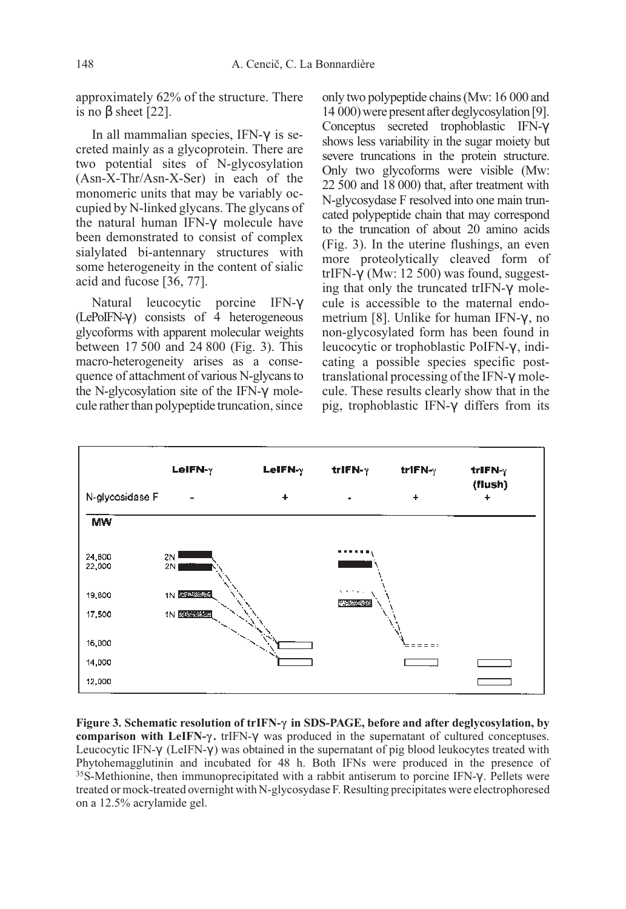approximately 62% of the structure. There is no  $β$  sheet [22].

In all mammalian species, IFN-γ is secreted mainly as a glycoprotein. There are two potential sites of N-glycosylation (Asn-X-Thr/Asn-X-Ser) in each of the monomeric units that may be variably occupied by N-linked glycans. The glycans of the natural human IFN-γ molecule have been demonstrated to consist of complex sialylated bi-antennary structures with some heterogeneity in the content of sialic acid and fucose [36, 77].

Natural leucocytic porcine IFN-γ  $(LePolFN-\gamma)$  consists of 4 heterogeneous glycoforms with apparent molecular weights between 17 500 and 24 800 (Fig. 3). This macro-heterogeneity arises as a consequence of attachment of various N-glycans to the N-glycosylation site of the IFN-γ molecule rather than polypeptide truncation, since only two polypeptide chains (Mw: 16 000 and 14 000) were present after deglycosylation [9]. Conceptus secreted trophoblastic IFN-γ shows less variability in the sugar moiety but severe truncations in the protein structure. Only two glycoforms were visible (Mw: 22 500 and 18 000) that, after treatment with N-glycosydase F resolved into one main truncated polypeptide chain that may correspond to the truncation of about 20 amino acids (Fig. 3). In the uterine flushings, an even more proteolytically cleaved form of trIFN-γ (Mw: 12 500) was found, suggesting that only the truncated trIFN-γ molecule is accessible to the maternal endometrium [8]. Unlike for human IFN-γ , no non-glycosylated form has been found in leucocytic or trophoblastic PoIFN-γ , indicating a possible species specific posttranslational processing of the IFN-γ molecule. These results clearly show that in the pig, trophoblastic IFN-γ differs from its



Figure 3. Schematic resolution of trIFN- $\gamma$  in SDS-PAGE, before and after deglycosylation, by comparison with LeIFN- $\gamma$ . trIFN- $\gamma$  was produced in the supernatant of cultured conceptuses. Leucocytic IFN-γ (LeIFN-γ ) was obtained in the supernatant of pig blood leukocytes treated with Phytohemagglutinin and incubated for 48 h. Both IFNs were produced in the presence of <sup>35</sup>S-Methionine, then immunoprecipitated with a rabbit antiserum to porcine IFN- $\gamma$ . Pellets were treated or mock-treated overnight with N-glycosydase F. Resulting precipitates were electrophoresed on a 12.5% acrylamide gel.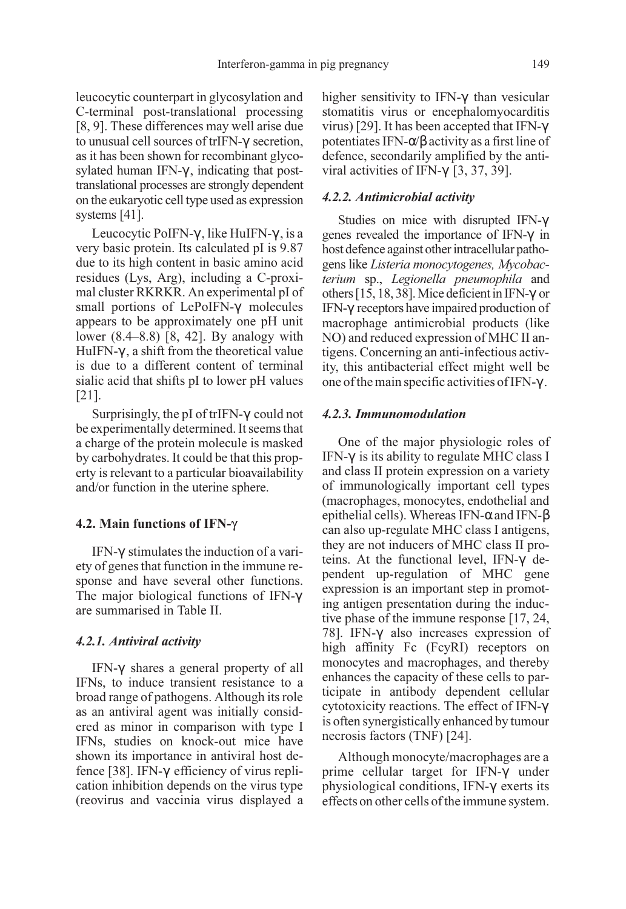leucocytic counterpart in glycosylation and C-terminal post-translational processing [8, 9]. These differences may well arise due to unusual cell sources of trIFN-γ secretion, as it has been shown for recombinant glycosylated human IFN-γ , indicating that posttranslational processes are strongly dependent on the eukaryotic cell type used as expression systems [41].

Leucocytic PoIFN-γ , like HuIFN-γ , is a very basic protein. Its calculated pI is 9.87 due to its high content in basic amino acid residues (Lys, Arg), including a C-proximal cluster RKRKR. An experimental pI of small portions of LePoIFN-γ molecules appears to be approximately one pH unit lower (8.4–8.8) [8, 42]. By analogy with HuIFN-γ , a shift from the theoretical value is due to a different content of terminal sialic acid that shifts pI to lower pH values [21].

Surprisingly, the pI of trIFN-γ could not be experimentally determined. It seems that a charge of the protein molecule is masked by carbohydrates. It could be that this property is relevant to a particular bioavailability and/or function in the uterine sphere.

#### 4.2. Main functions of IFN- $\gamma$

IFN-γ stimulates the induction of a variety of genes that function in the immune response and have several other functions. The major biological functions of IFN-γ are summarised in Table II.

#### 4.2.1. Antiviral activity

IFN-γ shares a general property of all IFNs, to induce transient resistance to a broad range of pathogens. Although its role as an antiviral agent was initially considered as minor in comparison with type I IFNs, studies on knock-out mice have shown its importance in antiviral host defence [38]. IFN-γ efficiency of virus replication inhibition depends on the virus type (reovirus and vaccinia virus displayed a higher sensitivity to IFN-γ than vesicular stomatitis virus or encephalomyocarditis virus) [29]. It has been accepted that IFN-γ potentiates IFN-α/β activity as a first line of defence, secondarily amplified by the antiviral activities of IFN-γ [3, 37, 39].

## 4.2.2. Antimicrobial activity

Studies on mice with disrupted IFN-γ genes revealed the importance of IFN-γ in host defence against other intracellular pathogens like Listeria monocytogenes, Mycobacterium sp., Legionella pneumophila and others [15, 18, 38]. Mice deficient in IFN-γ or IFN-γ receptors have impaired production of macrophage antimicrobial products (like NO) and reduced expression of MHC II antigens. Concerning an anti-infectious activity, this antibacterial effect might well be one of the main specific activities of IFN-γ .

#### 4.2.3. Immunomodulation

One of the major physiologic roles of IFN-γ is its ability to regulate MHC class I and class II protein expression on a variety of immunologically important cell types (macrophages, monocytes, endothelial and epithelial cells). Whereas IFN- $\alpha$  and IFN- $\beta$ can also up-regulate MHC class I antigens, they are not inducers of MHC class II proteins. At the functional level, IFN-γ dependent up-regulation of MHC gene expression is an important step in promoting antigen presentation during the inductive phase of the immune response [17, 24, 78]. IFN-γ also increases expression of high affinity Fc (FcyRI) receptors on monocytes and macrophages, and thereby enhances the capacity of these cells to participate in antibody dependent cellular cytotoxicity reactions. The effect of IFN-γ is often synergistically enhanced by tumour necrosis factors (TNF) [24].

Although monocyte/macrophages are a prime cellular target for IFN-γ under physiological conditions, IFN-γ exerts its effects on other cells of the immune system.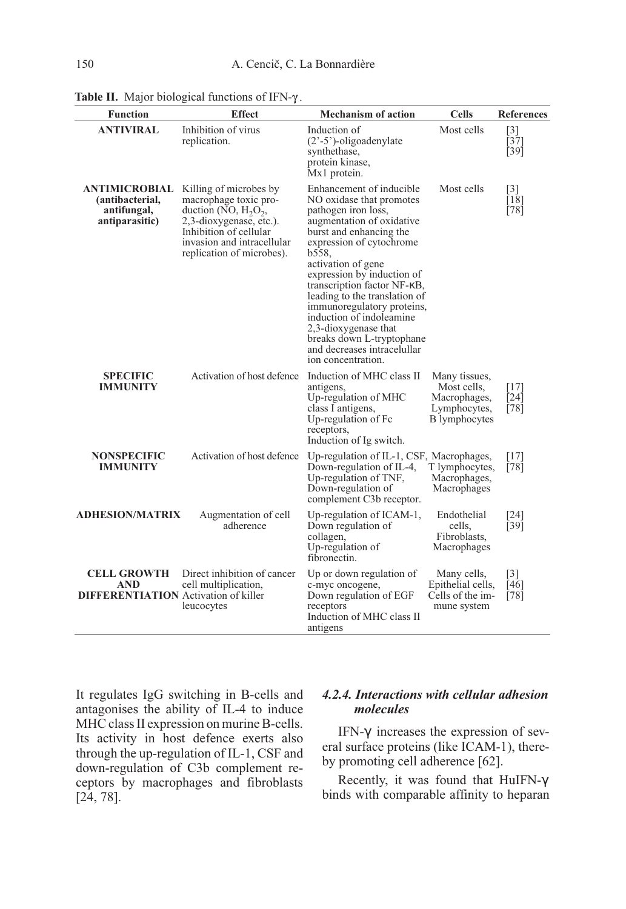| <b>Function</b>                                                          | <b>Effect</b>                                                                                                                                                                              | <b>Mechanism of action</b>                                                                                                                                                                                                                                                                                                                                                                                                                                       | <b>Cells</b>                                                                         | <b>References</b>                              |
|--------------------------------------------------------------------------|--------------------------------------------------------------------------------------------------------------------------------------------------------------------------------------------|------------------------------------------------------------------------------------------------------------------------------------------------------------------------------------------------------------------------------------------------------------------------------------------------------------------------------------------------------------------------------------------------------------------------------------------------------------------|--------------------------------------------------------------------------------------|------------------------------------------------|
| <b>ANTIVIRAL</b>                                                         | Inhibition of virus<br>replication.                                                                                                                                                        | Induction of<br>$(23-5)$ -oligoadenylate<br>synthethase,<br>protein kinase,<br>Mx1 protein.                                                                                                                                                                                                                                                                                                                                                                      | Most cells                                                                           | [3]<br>[37]<br>$[39]$                          |
| ANTIMICROBIAL<br>(antibacterial,<br>antifungal,<br>antiparasitic)        | Killing of microbes by<br>macrophage toxic pro-<br>duction (NO, $H_2O_2$ ,<br>2,3-dioxygenase, etc.).<br>Inhibition of cellular<br>invasion and intracellular<br>replication of microbes). | Enhancement of inducible<br>NO oxidase that promotes<br>pathogen iron loss,<br>augmentation of oxidative<br>burst and enhancing the<br>expression of cytochrome<br>b558.<br>activation of gene<br>expression by induction of<br>transcription factor NF-KB,<br>leading to the translation of<br>immunoregulatory proteins,<br>induction of indoleamine<br>2,3-dioxygenase that<br>breaks down L-tryptophane<br>and decreases intracefullar<br>ion concentration. | Most cells                                                                           | $\lceil 3 \rceil$<br>$\overline{18}$<br>$[78]$ |
| <b>SPECIFIC</b><br><b>IMMUNITY</b>                                       | Activation of host defence                                                                                                                                                                 | Induction of MHC class II<br>antigens,<br>Up-regulation of MHC<br>class I antigens,<br>Up-regulation of Fc<br>receptors,<br>Induction of Ig switch.                                                                                                                                                                                                                                                                                                              | Many tissues,<br>Most cells,<br>Macrophages,<br>Lymphocytes,<br><b>B</b> lymphocytes | [17]<br>$[24]$<br>[78]                         |
| <b>NONSPECIFIC</b><br><b>IMMUNITY</b>                                    | Activation of host defence                                                                                                                                                                 | Up-regulation of IL-1, CSF, Macrophages,<br>Down-regulation of IL-4,<br>Up-regulation of TNF,<br>Down-regulation of<br>complement C3b receptor.                                                                                                                                                                                                                                                                                                                  | T lymphocytes,<br>Macrophages,<br>Macrophages                                        | [17]<br>[78]                                   |
| <b>ADHESION/MATRIX</b>                                                   | Augmentation of cell<br>adherence                                                                                                                                                          | Up-regulation of ICAM-1,<br>Down regulation of<br>collagen,<br>Up-regulation of<br>fibronectin.                                                                                                                                                                                                                                                                                                                                                                  | Endothelial<br>cells,<br>Fibroblasts,<br>Macrophages                                 | [24]<br>[39]                                   |
| <b>CELL GROWTH</b><br>AND<br><b>DIFFERENTIATION</b> Activation of killer | Direct inhibition of cancer<br>cell multiplication,<br>leucocytes                                                                                                                          | Up or down regulation of<br>c-myc oncogene,<br>Down regulation of EGF<br>receptors<br>Induction of MHC class II<br>antigens                                                                                                                                                                                                                                                                                                                                      | Many cells,<br>Epithelial cells,<br>Cells of the im-<br>mune system                  | $\lceil 3 \rceil$<br>[46]<br>[78]              |

Table II. Major biological functions of IFN- $\gamma$ .

It regulates IgG switching in B-cells and antagonises the ability of IL-4 to induce MHC class II expression on murine B-cells. Its activity in host defence exerts also through the up-regulation of IL-1, CSF and down-regulation of C3b complement receptors by macrophages and fibroblasts [24, 78].

## 4.2.4. Interactions with cellular adhesion molecules

IFN-γ increases the expression of several surface proteins (like ICAM-1), thereby promoting cell adherence [62].

Recently, it was found that HuIFN-γ binds with comparable affinity to heparan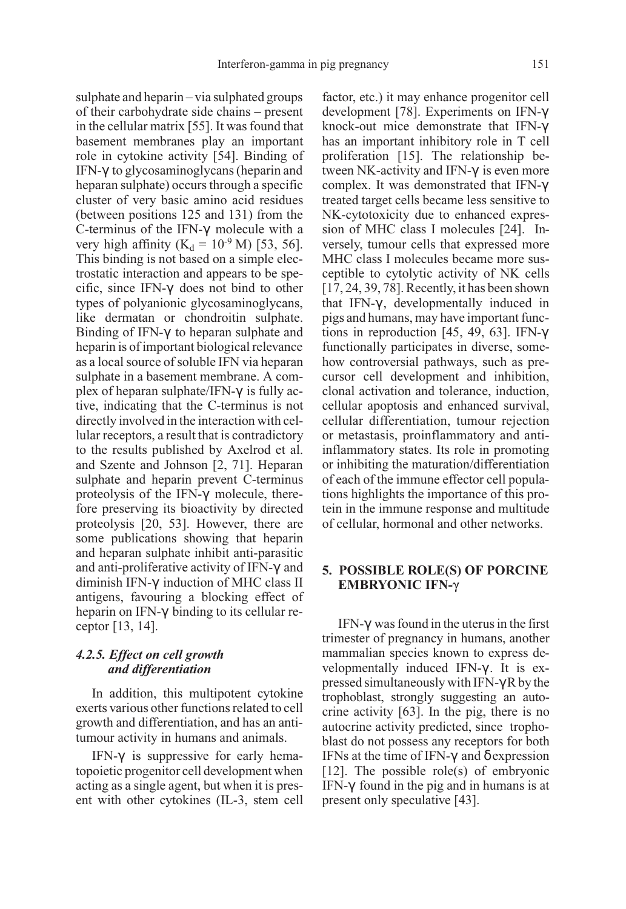sulphate and heparin – via sulphated groups of their carbohydrate side chains – present in the cellular matrix [55]. It was found that basement membranes play an important role in cytokine activity [54]. Binding of IFN-γ to glycosaminoglycans (heparin and heparan sulphate) occurs through a specific cluster of very basic amino acid residues (between positions 125 and 131) from the C-terminus of the IFN-γ molecule with a very high affinity ( $K_d = 10^{-9}$  M) [53, 56]. This binding is not based on a simple electrostatic interaction and appears to be specific, since IFN-γ does not bind to other types of polyanionic glycosaminoglycans, like dermatan or chondroitin sulphate. Binding of IFN-γ to heparan sulphate and heparin is of important biological relevance as a local source of soluble IFN via heparan sulphate in a basement membrane. A complex of heparan sulphate/IFN-γ is fully active, indicating that the C-terminus is not directly involved in the interaction with cellular receptors, a result that is contradictory to the results published by Axelrod et al. and Szente and Johnson [2, 71]. Heparan sulphate and heparin prevent C-terminus proteolysis of the IFN-γ molecule, therefore preserving its bioactivity by directed proteolysis [20, 53]. However, there are some publications showing that heparin and heparan sulphate inhibit anti-parasitic and anti-proliferative activity of IFN-γ and diminish IFN-γ induction of MHC class II antigens, favouring a blocking effect of heparin on IFN-γ binding to its cellular receptor [13, 14].

## 4.2.5. Effect on cell growth and differentiation

In addition, this multipotent cytokine exerts various other functions related to cell growth and differentiation, and has an antitumour activity in humans and animals.

IFN-γ is suppressive for early hematopoietic progenitor cell development when acting as a single agent, but when it is present with other cytokines (IL-3, stem cell factor, etc.) it may enhance progenitor cell development [78]. Experiments on IFN-γ knock-out mice demonstrate that IFN-γ has an important inhibitory role in T cell proliferation [15]. The relationship between NK-activity and IFN-γ is even more complex. It was demonstrated that IFN-γ treated target cells became less sensitive to NK-cytotoxicity due to enhanced expression of MHC class I molecules [24]. Inversely, tumour cells that expressed more MHC class I molecules became more susceptible to cytolytic activity of NK cells [17, 24, 39, 78]. Recently, it has been shown that IFN-γ , developmentally induced in pigs and humans, may have important functions in reproduction [45, 49, 63]. IFN-γ functionally participates in diverse, somehow controversial pathways, such as precursor cell development and inhibition, clonal activation and tolerance, induction, cellular apoptosis and enhanced survival, cellular differentiation, tumour rejection or metastasis, proinflammatory and antiinflammatory states. Its role in promoting or inhibiting the maturation/differentiation of each of the immune effector cell populations highlights the importance of this protein in the immune response and multitude of cellular, hormonal and other networks.

## 5. POSSIBLE ROLE(S) OF PORCINE EMBRYONIC IFN-

IFN- $\gamma$  was found in the uterus in the first trimester of pregnancy in humans, another mammalian species known to express developmentally induced IFN-γ . It is expressed simultaneously with IFN-γ R by the trophoblast, strongly suggesting an autocrine activity [63]. In the pig, there is no autocrine activity predicted, since trophoblast do not possess any receptors for both IFNs at the time of IFN- $\gamma$  and  $\delta$  expression [12]. The possible role(s) of embryonic IFN-γ found in the pig and in humans is at present only speculative [43].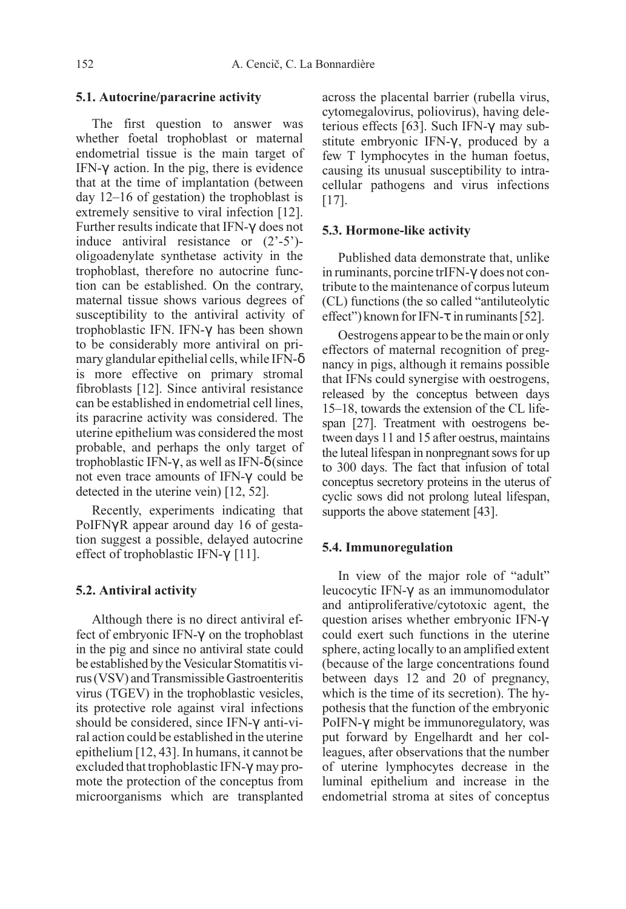#### 5.1. Autocrine/paracrine activity

The first question to answer was whether foetal trophoblast or maternal endometrial tissue is the main target of IFN-γ action. In the pig, there is evidence that at the time of implantation (between day 12–16 of gestation) the trophoblast is extremely sensitive to viral infection [12]. Further results indicate that IFN-γ does not induce antiviral resistance or (2'-5') oligoadenylate synthetase activity in the trophoblast, therefore no autocrine function can be established. On the contrary, maternal tissue shows various degrees of susceptibility to the antiviral activity of trophoblastic IFN. IFN-γ has been shown to be considerably more antiviral on primary glandular epithelial cells, while IFN-δ is more effective on primary stromal fibroblasts [12]. Since antiviral resistance can be established in endometrial cell lines, its paracrine activity was considered. The uterine epithelium was considered the most probable, and perhaps the only target of trophoblastic IFN-γ , as well as IFN-δ (since not even trace amounts of IFN-γ could be detected in the uterine vein) [12, 52].

Recently, experiments indicating that PoIFNγ R appear around day 16 of gestation suggest a possible, delayed autocrine effect of trophoblastic IFN-γ [11].

## 5.2. Antiviral activity

Although there is no direct antiviral effect of embryonic IFN-γ on the trophoblast in the pig and since no antiviral state could be established by the Vesicular Stomatitis virus (VSV) and Transmissible Gastroenteritis virus (TGEV) in the trophoblastic vesicles, its protective role against viral infections should be considered, since IFN-γ anti-viral action could be established in the uterine epithelium [12, 43]. In humans, it cannot be excluded that trophoblastic IFN-γ may promote the protection of the conceptus from microorganisms which are transplanted

across the placental barrier (rubella virus, cytomegalovirus, poliovirus), having deleterious effects [63]. Such IFN-γ may substitute embryonic IFN-γ , produced by a few T lymphocytes in the human foetus, causing its unusual susceptibility to intracellular pathogens and virus infections [17].

## 5.3. Hormone-like activity

Published data demonstrate that, unlike in ruminants, porcine trIFN-γ does not contribute to the maintenance of corpus luteum (CL) functions (the so called "antiluteolytic effect") known for IFN-τ in ruminants [52].

Oestrogens appear to be the main or only effectors of maternal recognition of pregnancy in pigs, although it remains possible that IFNs could synergise with oestrogens, released by the conceptus between days 15–18, towards the extension of the CL lifespan [27]. Treatment with oestrogens between days 11 and 15 after oestrus, maintains the luteal lifespan in nonpregnant sows for up to 300 days. The fact that infusion of total conceptus secretory proteins in the uterus of cyclic sows did not prolong luteal lifespan, supports the above statement [43].

## 5.4. Immunoregulation

In view of the major role of "adult" leucocytic IFN-γ as an immunomodulator and antiproliferative/cytotoxic agent, the question arises whether embryonic IFN-γ could exert such functions in the uterine sphere, acting locally to an amplified extent (because of the large concentrations found between days 12 and 20 of pregnancy, which is the time of its secretion). The hypothesis that the function of the embryonic PoIFN-γ might be immunoregulatory, was put forward by Engelhardt and her colleagues, after observations that the number of uterine lymphocytes decrease in the luminal epithelium and increase in the endometrial stroma at sites of conceptus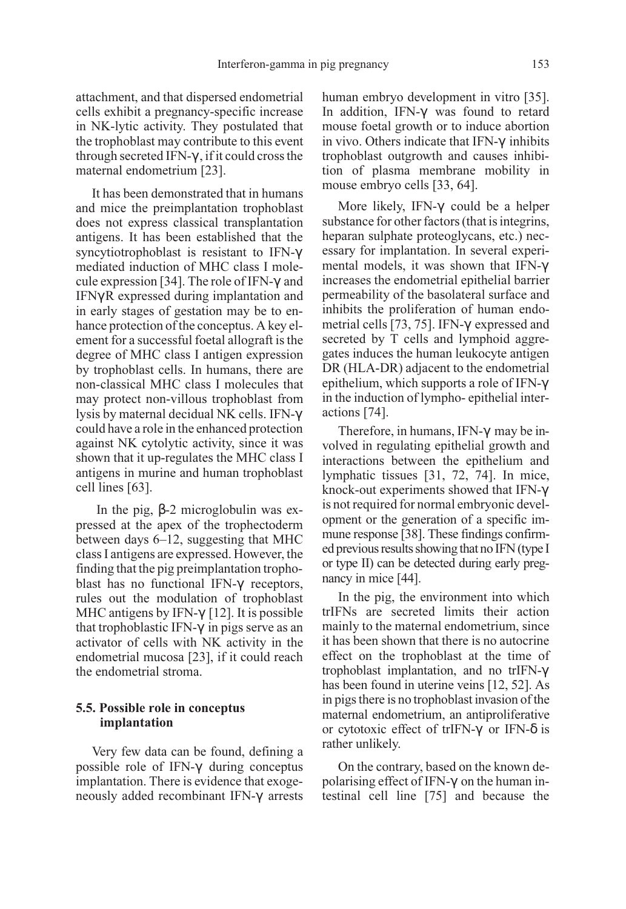attachment, and that dispersed endometrial cells exhibit a pregnancy-specific increase in NK-lytic activity. They postulated that the trophoblast may contribute to this event through secreted IFN-γ , if it could cross the maternal endometrium [23].

It has been demonstrated that in humans and mice the preimplantation trophoblast does not express classical transplantation antigens. It has been established that the syncytiotrophoblast is resistant to IFN-γ mediated induction of MHC class I molecule expression [34]. The role of IFN-γ and IFNγ R expressed during implantation and in early stages of gestation may be to enhance protection of the conceptus. A key element for a successful foetal allograft is the degree of MHC class I antigen expression by trophoblast cells. In humans, there are non-classical MHC class I molecules that may protect non-villous trophoblast from lysis by maternal decidual NK cells. IFN-γ could have a role in the enhanced protection against NK cytolytic activity, since it was shown that it up-regulates the MHC class I antigens in murine and human trophoblast cell lines [63].

In the pig, β-2 microglobulin was expressed at the apex of the trophectoderm between days 6–12, suggesting that MHC class I antigens are expressed. However, the finding that the pig preimplantation trophoblast has no functional IFN-γ receptors, rules out the modulation of trophoblast MHC antigens by IFN- $\gamma$  [12]. It is possible that trophoblastic IFN- $γ$  in pigs serve as an activator of cells with NK activity in the endometrial mucosa [23], if it could reach the endometrial stroma.

## 5.5. Possible role in conceptus implantation

Very few data can be found, defining a possible role of IFN-γ during conceptus implantation. There is evidence that exogeneously added recombinant IFN-γ arrests

human embryo development in vitro [35]. In addition, IFN-γ was found to retard mouse foetal growth or to induce abortion in vivo. Others indicate that IFN-γ inhibits trophoblast outgrowth and causes inhibition of plasma membrane mobility in mouse embryo cells [33, 64].

More likely, IFN-γ could be a helper substance for other factors (that is integrins, heparan sulphate proteoglycans, etc.) necessary for implantation. In several experimental models, it was shown that IFN-γ increases the endometrial epithelial barrier permeability of the basolateral surface and inhibits the proliferation of human endometrial cells [73, 75]. IFN-γ expressed and secreted by T cells and lymphoid aggregates induces the human leukocyte antigen DR (HLA-DR) adjacent to the endometrial epithelium, which supports a role of IFN-γ in the induction of lympho- epithelial interactions [74].

Therefore, in humans, IFN-γ may be involved in regulating epithelial growth and interactions between the epithelium and lymphatic tissues [31, 72, 74]. In mice, knock-out experiments showed that IFN-γ is not required for normal embryonic development or the generation of a specific immune response [38]. These findings confirmed previous results showing that no IFN (type I or type II) can be detected during early pregnancy in mice [44].

In the pig, the environment into which trIFNs are secreted limits their action mainly to the maternal endometrium, since it has been shown that there is no autocrine effect on the trophoblast at the time of trophoblast implantation, and no trIFN-γ has been found in uterine veins [12, 52]. As in pigs there is no trophoblast invasion of the maternal endometrium, an antiproliferative or cytotoxic effect of trIFN- $\gamma$  or IFN- $\delta$  is rather unlikely.

On the contrary, based on the known depolarising effect of IFN-γ on the human intestinal cell line [75] and because the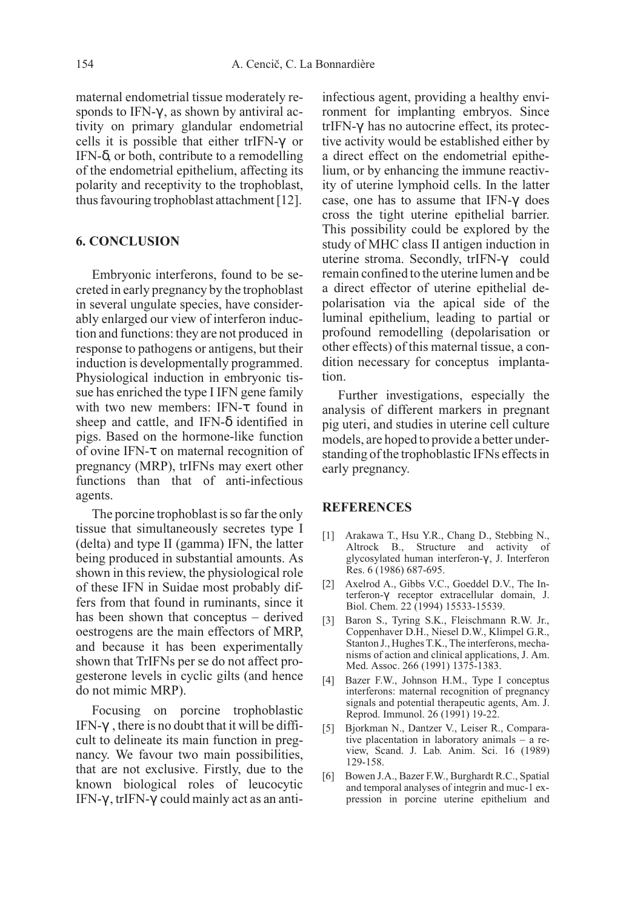maternal endometrial tissue moderately responds to IFN-γ , as shown by antiviral activity on primary glandular endometrial cells it is possible that either trIFN-γ or IFN-δ, or both, contribute to a remodelling of the endometrial epithelium, affecting its polarity and receptivity to the trophoblast, thus favouring trophoblast attachment [12].

## 6. CONCLUSION

Embryonic interferons, found to be secreted in early pregnancy by the trophoblast in several ungulate species, have considerably enlarged our view of interferon induction and functions: they are not produced in response to pathogens or antigens, but their induction is developmentally programmed. Physiological induction in embryonic tissue has enriched the type I IFN gene family with two new members: IFN-τ found in sheep and cattle, and IFN-δ identified in pigs. Based on the hormone-like function of ovine IFN-τ on maternal recognition of pregnancy (MRP), trIFNs may exert other functions than that of anti-infectious agents.

The porcine trophoblast is so far the only tissue that simultaneously secretes type I (delta) and type II (gamma) IFN, the latter being produced in substantial amounts. As shown in this review, the physiological role of these IFN in Suidae most probably differs from that found in ruminants, since it has been shown that conceptus – derived oestrogens are the main effectors of MRP, and because it has been experimentally shown that TrIFNs per se do not affect progesterone levels in cyclic gilts (and hence do not mimic MRP).

Focusing on porcine trophoblastic IFN-γ , there is no doubt that it will be difficult to delineate its main function in pregnancy. We favour two main possibilities, that are not exclusive. Firstly, due to the known biological roles of leucocytic IFN-γ , trIFN-γ could mainly act as an antiinfectious agent, providing a healthy environment for implanting embryos. Since trIFN-γ has no autocrine effect, its protective activity would be established either by a direct effect on the endometrial epithelium, or by enhancing the immune reactivity of uterine lymphoid cells. In the latter case, one has to assume that IFN-γ does cross the tight uterine epithelial barrier. This possibility could be explored by the study of MHC class II antigen induction in uterine stroma. Secondly, trIFN-γ could remain confined to the uterine lumen and be a direct effector of uterine epithelial depolarisation via the apical side of the luminal epithelium, leading to partial or profound remodelling (depolarisation or other effects) of this maternal tissue, a condition necessary for conceptus implantation.

Further investigations, especially the analysis of different markers in pregnant pig uteri, and studies in uterine cell culture models, are hoped to provide a better understanding of the trophoblastic IFNs effects in early pregnancy.

# **REFERENCES**

- [1] Arakawa T., Hsu Y.R., Chang D., Stebbing N., Altrock B., Structure and activity of glycosylated human interferon-γ , J. Interferon Res. 6 (1986) 687-695.
- [2] Axelrod A., Gibbs V.C., Goeddel D.V., The Interferon-γ receptor extracellular domain, J. Biol. Chem. 22 (1994) 15533-15539.
- [3] Baron S., Tyring S.K., Fleischmann R.W. Jr., Coppenhaver D.H., Niesel D.W., Klimpel G.R., Stanton J., Hughes T.K., The interferons, mechanisms of action and clinical applications, J. Am. Med. Assoc. 266 (1991) 1375-1383.
- [4] Bazer F.W., Johnson H.M., Type I conceptus interferons: maternal recognition of pregnancy signals and potential therapeutic agents, Am. J. Reprod. Immunol. 26 (1991) 19-22.
- [5] Bjorkman N., Dantzer V., Leiser R., Comparative placentation in laboratory animals – a review, Scand. J. Lab. Anim. Sci. 16 (1989) 129-158.
- [6] Bowen J.A., Bazer F.W., Burghardt R.C., Spatial and temporal analyses of integrin and muc-1 expression in porcine uterine epithelium and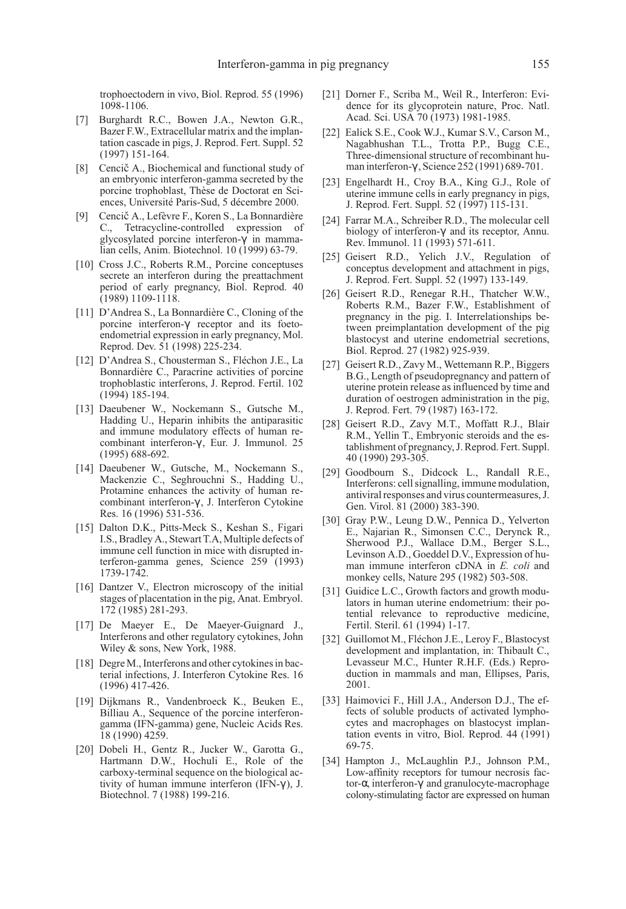trophoectodern in vivo, Biol. Reprod. 55 (1996) 1098-1106.

- [7] Burghardt R.C., Bowen J.A., Newton G.R., Bazer F.W., Extracellular matrix and the implantation cascade in pigs, J. Reprod. Fert. Suppl. 52 (1997) 151-164.
- [8] Cencič A., Biochemical and functional study of an embryonic interferon-gamma secreted by the porcine trophoblast, Thèse de Doctorat en Sciences, Université Paris-Sud, 5 décembre 2000.
- [9] Cencič A., Lefèvre F., Koren S., La Bonnardière C., Tetracycline-controlled expression of glycosylated porcine interferon-γ in mammalian cells, Anim. Biotechnol. 10 (1999) 63-79.
- [10] Cross J.C., Roberts R.M., Porcine conceptuses secrete an interferon during the preattachment period of early pregnancy, Biol. Reprod. 40 (1989) 1109-1118.
- [11] D'Andrea S., La Bonnardière C., Cloning of the porcine interferon-γ receptor and its foetoendometrial expression in early pregnancy, Mol. Reprod. Dev. 51 (1998) 225-234.
- [12] D'Andrea S., Chousterman S., Fléchon J.E., La Bonnardière C., Paracrine activities of porcine trophoblastic interferons, J. Reprod. Fertil. 102 (1994) 185-194.
- [13] Daeubener W., Nockemann S., Gutsche M., Hadding U., Heparin inhibits the antiparasitic and immune modulatory effects of human recombinant interferon-γ , Eur. J. Immunol. 25 (1995) 688-692.
- [14] Daeubener W., Gutsche, M., Nockemann S., Mackenzie C., Seghrouchni S., Hadding U., Protamine enhances the activity of human recombinant interferon-γ , J. Interferon Cytokine Res. 16 (1996) 531-536.
- [15] Dalton D.K., Pitts-Meck S., Keshan S., Figari I.S., Bradley A., Stewart T.A, Multiple defects of immune cell function in mice with disrupted interferon-gamma genes, Science 259 (1993) 1739-1742.
- [16] Dantzer V., Electron microscopy of the initial stages of placentation in the pig, Anat. Embryol. 172 (1985) 281-293.
- [17] De Maeyer E., De Maeyer-Guignard J., Interferons and other regulatory cytokines, John Wiley & sons, New York, 1988.
- [18] Degre M., Interferons and other cytokines in bacterial infections, J. Interferon Cytokine Res. 16 (1996) 417-426.
- [19] Dijkmans R., Vandenbroeck K., Beuken E., Billiau A., Sequence of the porcine interferongamma (IFN-gamma) gene, Nucleic Acids Res. 18 (1990) 4259.
- [20] Dobeli H., Gentz R., Jucker W., Garotta G., Hartmann D.W., Hochuli E., Role of the carboxy-terminal sequence on the biological activity of human immune interferon (IFN-γ ), J. Biotechnol. 7 (1988) 199-216.
- [21] Dorner F., Scriba M., Weil R., Interferon: Evidence for its glycoprotein nature, Proc. Natl. Acad. Sci. USA 70 (1973) 1981-1985.
- [22] Ealick S.E., Cook W.J., Kumar S.V., Carson M., Nagabhushan T.L., Trotta P.P., Bugg C.E., Three-dimensional structure of recombinant human interferon-γ , Science 252 (1991) 689-701.
- [23] Engelhardt H., Croy B.A., King G.J., Role of uterine immune cells in early pregnancy in pigs, J. Reprod. Fert. Suppl. 52 (1997) 115-131.
- [24] Farrar M.A., Schreiber R.D., The molecular cell biology of interferon-γ and its receptor, Annu. Rev. Immunol. 11 (1993) 571-611.
- [25] Geisert R.D., Yelich J.V., Regulation of conceptus development and attachment in pigs, J. Reprod. Fert. Suppl. 52 (1997) 133-149.
- [26] Geisert R.D., Renegar R.H., Thatcher W.W., Roberts R.M., Bazer F.W., Establishment of pregnancy in the pig. I. Interrelationships between preimplantation development of the pig blastocyst and uterine endometrial secretions, Biol. Reprod. 27 (1982) 925-939.
- [27] Geisert R.D., Zavy M., Wettemann R.P., Biggers B.G., Length of pseudopregnancy and pattern of uterine protein release as influenced by time and duration of oestrogen administration in the pig, J. Reprod. Fert. 79 (1987) 163-172.
- [28] Geisert R.D., Zavy M.T., Moffatt R.J., Blair R.M., Yellin T., Embryonic steroids and the establishment of pregnancy, J. Reprod. Fert. Suppl. 40 (1990) 293-305.
- [29] Goodbourn S., Didcock L., Randall R.E., Interferons: cell signalling, immune modulation, antiviral responses and virus countermeasures, J. Gen. Virol. 81 (2000) 383-390.
- [30] Gray P.W., Leung D.W., Pennica D., Yelverton E., Najarian R., Simonsen C.C., Derynck R., Sherwood P.J., Wallace D.M., Berger S.L., Levinson A.D., Goeddel D.V., Expression of human immune interferon cDNA in E. coli and monkey cells, Nature 295 (1982) 503-508.
- [31] Guidice L.C., Growth factors and growth modulators in human uterine endometrium: their potential relevance to reproductive medicine, Fertil. Steril. 61 (1994) 1-17.
- [32] Guillomot M., Fléchon J.E., Leroy F., Blastocyst development and implantation, in: Thibault C., Levasseur M.C., Hunter R.H.F. (Eds.) Reproduction in mammals and man, Ellipses, Paris, 2001.
- [33] Haimovici F., Hill J.A., Anderson D.J., The effects of soluble products of activated lymphocytes and macrophages on blastocyst implantation events in vitro, Biol. Reprod. 44 (1991) 69-75.
- [34] Hampton J., McLaughlin P.J., Johnson P.M., Low-affinity receptors for tumour necrosis factor-α, interferon-γ and granulocyte-macrophage colony-stimulating factor are expressed on human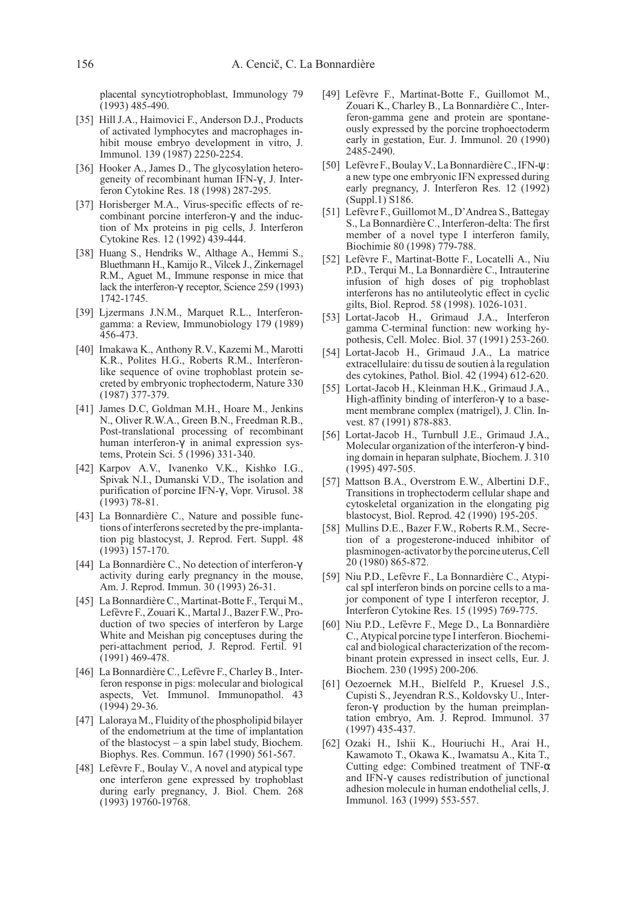placental syncytiotrophoblast, Immunology 79 (1993) 485-490.

- [35] Hill J.A., Haimovici F., Anderson D.J., Products of activated lymphocytes and macrophages inhibit mouse embryo development in vitro, J. Immunol. 139 (1987) 2250-2254.
- [36] Hooker A., James D., The glycosylation heterogeneity of recombinant human IFN-γ , J. Interferon Cytokine Res. 18 (1998) 287-295.
- [37] Horisberger M.A., Virus-specific effects of recombinant porcine interferon-γ and the induction of Mx proteins in pig cells, J. Interferon Cytokine Res. 12 (1992) 439-444.
- [38] Huang S., Hendriks W., Althage A., Hemmi S., Bluethmann H., Kamijo R., Vilcek J., Zinkernagel R.M., Aguet M., Immune response in mice that lack the interferon-γ receptor, Science 259 (1993) 1742-1745.
- [39] Lizermans J.N.M., Marquet R.L., Interferongamma: a Review, Immunobiology 179 (1989) 456-473.
- [40] Imakawa K., Anthony R.V., Kazemi M., Marotti K.R., Polites H.G., Roberts R.M., Interferonlike sequence of ovine trophoblast protein secreted by embryonic trophectoderm, Nature 330 (1987) 377-379.
- [41] James D.C, Goldman M.H., Hoare M., Jenkins N., Oliver R.W.A., Green B.N., Freedman R.B., Post-translational processing of recombinant human interferon-γ in animal expression systems, Protein Sci. 5 (1996) 331-340.
- [42] Karpov A.V., Ivanenko V.K., Kishko I.G., Spivak N.I., Dumanski V.D., The isolation and purification of porcine IFN-γ , Vopr. Virusol. 38 (1993) 78-81.
- [43] La Bonnardière C., Nature and possible functions of interferons secreted by the pre-implantation pig blastocyst, J. Reprod. Fert. Suppl. 48 (1993) 157-170.
- [44] La Bonnardière C., No detection of interferon-γ activity during early pregnancy in the mouse, Am. J. Reprod. Immun. 30 (1993) 26-31.
- [45] La Bonnardière C., Martinat-Botte F., Terqui M., Lefèvre F., Zouari K., Martal J., Bazer F.W., Production of two species of interferon by Large White and Meishan pig conceptuses during the peri-attachment period, J. Reprod. Fertil. 91 (1991) 469-478.
- [46] La Bonnardière C., Lefèvre F., Charley B., Interferon response in pigs: molecular and biological aspects, Vet. Immunol. Immunopathol. 43 (1994) 29-36.
- [47] Laloraya M., Fluidity of the phospholipid bilayer of the endometrium at the time of implantation of the blastocyst – a spin label study, Biochem. Biophys. Res. Commun. 167 (1990) 561-567.
- [48] Lefèvre F., Boulay V., A novel and atypical type one interferon gene expressed by trophoblast during early pregnancy, J. Biol. Chem. 268 (1993) 19760-19768.
- [49] Lefèvre F., Martinat-Botte F., Guillomot M., Zouari K., Charley B., La Bonnardière C., Interferon-gamma gene and protein are spontaneously expressed by the porcine trophoectoderm early in gestation, Eur. J. Immunol. 20 (1990) 2485-2490.
- [50] Lefèvre F., Boulay V., La Bonnardière C., IFN-ψ: a new type one embryonic IFN expressed during early pregnancy, J. Interferon Res. 12 (1992) (Suppl.1) S186.
- [51] Lefèvre F., Guillomot M., D'Andrea S., Battegay S., La Bonnardière C., Interferon-delta: The first member of a novel type I interferon family, Biochimie 80 (1998) 779-788.
- [52] Lefèvre F., Martinat-Botte F., Locatelli A., Niu P.D., Terqui M., La Bonnardière C., Intrauterine infusion of high doses of pig trophoblast interferons has no antiluteolytic effect in cyclic gilts, Biol. Reprod. 58 (1998). 1026-1031.
- [53] Lortat-Jacob H., Grimaud J.A., Interferon gamma C-terminal function: new working hypothesis, Cell. Molec. Biol. 37 (1991) 253-260.
- [54] Lortat-Jacob H., Grimaud J.A., La matrice extracellulaire: du tissu de soutien à la regulation des cytokines, Pathol. Biol. 42 (1994) 612-620.
- [55] Lortat-Jacob H., Kleinman H.K., Grimaud J.A., High-affinity binding of interferon-γ to a basement membrane complex (matrigel), J. Clin. Invest. 87 (1991) 878-883.
- [56] Lortat-Jacob H., Turnbull J.E., Grimaud J.A., Molecular organization of the interferon-γ binding domain in heparan sulphate, Biochem. J. 310 (1995) 497-505.
- [57] Mattson B.A., Overstrom E.W., Albertini D.F., Transitions in trophectoderm cellular shape and cytoskeletal organization in the elongating pig blastocyst, Biol. Reprod. 42 (1990) 195-205.
- [58] Mullins D.E., Bazer F.W., Roberts R.M., Secretion of a progesterone-induced inhibitor of plasminogen-activatorbytheporcineuterus,Cell 20 (1980) 865-872.
- [59] Niu P.D., Lefèvre F., La Bonnardière C., Atypical spI interferon binds on porcine cells to a major component of type I interferon receptor, J. Interferon Cytokine Res. 15 (1995) 769-775.
- [60] Niu P.D., Lefèvre F., Mege D., La Bonnardière C., Atypical porcine type I interferon. Biochemical and biological characterization of the recombinant protein expressed in insect cells, Eur. J. Biochem. 230 (1995) 200-206.
- [61] Oezoernek M.H., Bielfeld P., Kruesel J.S., Cupisti S., Jeyendran R.S., Koldovsky U., Interferon-γ production by the human preimplantation embryo, Am. J. Reprod. Immunol. 37 (1997) 435-437.
- [62] Ozaki H., Ishii K., Houriuchi H., Arai H., Kawamoto T., Okawa K., Iwamatsu A., Kita T., Cutting edge: Combined treatment of TNF- $\alpha$ and IFN-γ causes redistribution of junctional adhesion molecule in human endothelial cells, J. Immunol. 163 (1999) 553-557.